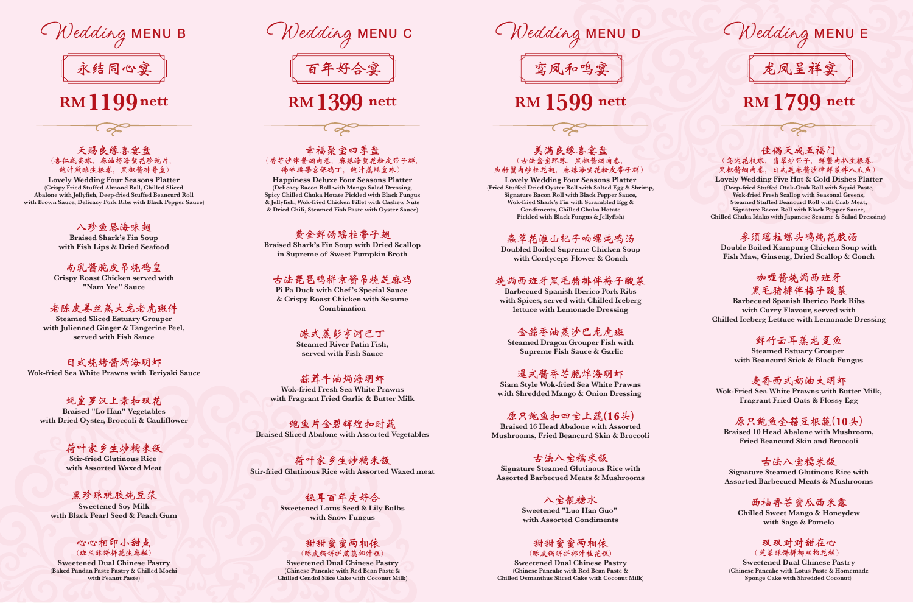### 佳偶天成五福门 (乌达花枝球,翡翠炒带子,鲜蟹肉扒生根卷, 黑椒酱烟肉卷,日式芝麻酱沙律鲜菜伴八爪鱼)

l of

**Lovely Wedding Five Hot & Cold Dishes Platter (Deep-fried Stuffed Otak-Otak Roll with Squid Paste, Wok-fried Fresh Scallop with Seasonal Greens, Steamed Stuffed Beancurd Roll with Crab Meat, Signature Bacon Roll with Black Pepper Sauce, Chilled Chuka Idako with Japanese Sesame & Salad Dressing)** 

参须瑶柱螺头鸡炖花胶汤 **Double Boiled Kampung Chicken Soup with Fish Maw, Ginseng, Dried Scallop & Conch**

# 咖**喱**酱烧**焗**西班牙 黑毛猪排伴梅子酸菜

**Barbecued Spanish Iberico Pork Ribs with Curry Flavour, served with Chilled Iceberg Lettuce with Lemonade Dressing**

# 鲜竹云耳蒸龙趸鱼

**Steamed Estuary Grouper with Beancurd Stick & Black Fungus**

# 麦香西式奶油大明虾

**Wok-Fried Sea White Prawns with Butter Milk, Fragrant Fried Oats & Flossy Egg**

# 原只鲍鱼全菇豆根蔬**(10**头**)**

**Braised 10 Head Abalone with Mushroom, Fried Beancurd Skin and Broccoli**

# 古法八宝糯米饭

**Signature Steamed Glutinous Rice with Assorted Barbecued Meats & Mushrooms**

# 西柚香芒蜜瓜西米露

**Chilled Sweet Mango & Honeydew with Sago & Pomelo**

#### 双双对对甜在心 (莲蓉酥饼拼椰丝棉花糕)

**Sweetened Dual Chinese Pastry (Chinese Pancake with Lotus Paste & Homemade Sponge Cake with Shredded Coconut)** 

龙凤呈祥宴

# **RM 1799 nett**

Wedding MENU E



# (香芒沙律酱烟肉卷,麻辣海**蜇**花粉皮带子群, 佛**砵**腰果宫保鸡丁,鲍汁蒸**蚝**皇球)

**Happiness Deluxe Four Seasons Platter (Delicacy Bacon Roll with Mango Salad Dressing, Spicy Chilled Chuka Hotate Pickled with Black Fungus & Jellyfish, Wok-fried Chicken Fillet with Cashew Nuts & Dried Chili, Steamed Fish Paste with Oyster Sauce)**

# 黄金鲜汤瑶柱带子翅

**Braised Shark's Fin Soup with Dried Scallop in Supreme of Sweet Pumpkin Broth**

# 古法琵琶鸭拼京酱吊烧芝麻鸡

**Pi Pa Duck with Chef 's Special Sauce & Crispy Roast Chicken with Sesame Combination**

# 港式蒸彭亨河巴丁

**Steamed River Patin Fish, served with Fish Sauce**

## 蒜茸牛油**焗**海明虾

**Wok-fried Fresh Sea White Prawns with Fragrant Fried Garlic & Butter Milk**

鲍鱼片金碧辉煌扣时蔬 **Braised Sliced Abalone with Assorted Vegetables**

荷叶家乡生炒糯米饭 **Stir-fried Glutinous Rice with Assorted Waxed meat**

> 银耳百年庆好合 **Sweetened Lotus Seed & Lily Bulbs with Snow Fungus**

#### 甜甜蜜蜜两相依 (酥皮锅饼拼煎蕊椰汁糕)

#### 甜甜蜜蜜两相依 (酥皮锅饼拼椰汁桂花糕)

**Sweetened Dual Chinese Pastry (Chinese Pancake with Red Bean Paste & Chilled Cendol Slice Cake with Coconut Milk)**

# **RM1399 nett**

Wedding MENU C



#### 天赐良缘喜宴盘 (杏仁咸蛋球,麻油捞海**蜇**花珍鲍片, 鲍汁煎酿生根卷,黑椒酱排骨皇)

**Lovely Wedding Four Seasons Platter (Crispy Fried Stuffed Almond Ball, Chilled Sliced Abalone with Jellyfish, Deep-fried Stuffed Beancurd Roll with Brown Sauce, Delicacy Pork Ribs with Black Pepper Sauce)**

# 八珍鱼唇海味翅

**Braised Shark's Fin Soup with Fish Lips & Dried Seafood**

# 南乳酱脆皮吊烧鸡皇 **Crispy Roast Chicken served with**

**"Nam Yee" Sauce**

# 老陈皮姜丝蒸大龙老虎斑件

**Steamed Sliced Estuary Grouper with Julienned Ginger & Tangerine Peel, served with Fish Sauce**

日式烧烤酱**焗**海明虾 **Wok-fried Sea White Prawns with Teriyaki Sauce**

#### **蚝**皇罗汉上素扣双花 **Braised "Lo Han" Vegetables with Dried Oyster, Broccoli & Cauliflower**

荷叶家乡生炒糯米饭 **Stir-fried Glutinous Rice with Assorted Waxed Meat**

#### 黑珍珠桃胶炖豆浆 **Sweetened Soy Milk with Black Pearl Seed & Peach Gum**

#### 心心相印小甜点 (班兰酥饼拼花生麻糍)

**Sweetened Dual Chinese Pastry** (**Baked Pandan Paste Pastry & Chilled Mochi with Peanut Paste)**



Wedding MENU B

# **RM1199nett**

て ズ

### 美满良缘喜宴盘 (古法盒宝环珠,黑椒酱烟肉卷, 鱼籽蟹肉炒桂花翅,麻辣海**蜇**花粉皮带子群)

**Lovely Wedding Four Seasons Platter (Fried Stuffed Dried Oyster Roll with Salted Egg & Shrimp, Signature Bacon Roll with Black Pepper Sauce, Wok-fried Shark's Fin with Scrambled Egg & Condiments, Chilled Chuka Hotate Pickled with Black Fungus & Jellyfish)**

# **蟲**草花淮山**杞**子响螺炖鸡汤

**Doubled Boiled Supreme Chicken Soup with Cordyceps Flower & Conch**

# 烧**焗**西班牙黑毛猪排伴梅子酸菜

**Barbecued Spanish Iberico Pork Ribs with Spices, served with Chilled Iceberg lettuce with Lemonade Dressing**

# 金蒜香油蒸沙巴龙虎斑

**Steamed Dragon Grouper Fish with Supreme Fish Sauce & Garlic**

### **暹**式酱香芒脆炸海明虾

**Siam Style Wok-fried Sea White Prawns with Shredded Mango & Onion Dressing** 

原只鲍鱼扣四宝上蔬**(16**头**) Braised 16 Head Abalone with Assorted Mushrooms, Fried Beancurd Skin & Broccoli**

古法八宝糯米饭

**Signature Steamed Glutinous Rice with Assorted Barbecued Meats & Mushrooms**

> 八宝靓糖水 **Sweetened "Luo Han Guo" with Assorted Condiments**

**Sweetened Dual Chinese Pastry (Chinese Pancake with Red Bean Paste & Chilled Osmanthus Sliced Cake with Coconut Milk)**

# **RM 1599 nett**

てる



Wedding MENU D